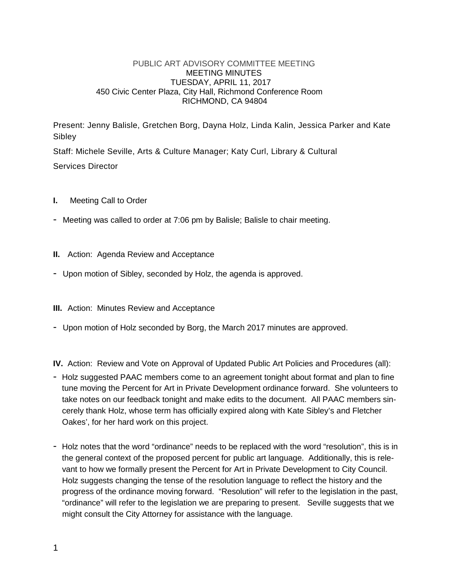## PUBLIC ART ADVISORY COMMITTEE MEETING MEETING MINUTES TUESDAY, APRIL 11, 2017 450 Civic Center Plaza, City Hall, Richmond Conference Room RICHMOND, CA 94804

Present: Jenny Balisle, Gretchen Borg, Dayna Holz, Linda Kalin, Jessica Parker and Kate Sibley

Staff: Michele Seville, Arts & Culture Manager; Katy Curl, Library & Cultural Services Director

- **I.** Meeting Call to Order
- Meeting was called to order at 7:06 pm by Balisle; Balisle to chair meeting.
- **II.** Action: Agenda Review and Acceptance
- Upon motion of Sibley, seconded by Holz, the agenda is approved.
- **III.** Action: Minutes Review and Acceptance
- Upon motion of Holz seconded by Borg, the March 2017 minutes are approved.

**IV.** Action: Review and Vote on Approval of Updated Public Art Policies and Procedures (all):

- Holz suggested PAAC members come to an agreement tonight about format and plan to fine tune moving the Percent for Art in Private Development ordinance forward. She volunteers to take notes on our feedback tonight and make edits to the document. All PAAC members sincerely thank Holz, whose term has officially expired along with Kate Sibley's and Fletcher Oakes', for her hard work on this project.
- Holz notes that the word "ordinance" needs to be replaced with the word "resolution", this is in the general context of the proposed percent for public art language. Additionally, this is relevant to how we formally present the Percent for Art in Private Development to City Council. Holz suggests changing the tense of the resolution language to reflect the history and the progress of the ordinance moving forward. "Resolution" will refer to the legislation in the past, "ordinance" will refer to the legislation we are preparing to present. Seville suggests that we might consult the City Attorney for assistance with the language.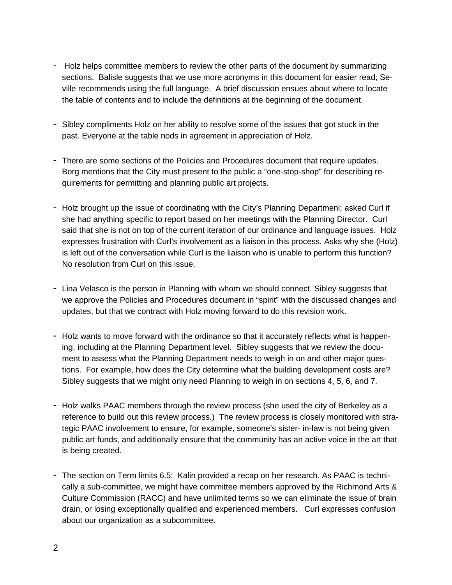- Holz helps committee members to review the other parts of the document by summarizing sections. Balisle suggests that we use more acronyms in this document for easier read; Seville recommends using the full language. A brief discussion ensues about where to locate the table of contents and to include the definitions at the beginning of the document.
- Sibley compliments Holz on her ability to resolve some of the issues that got stuck in the past. Everyone at the table nods in agreement in appreciation of Holz.
- There are some sections of the Policies and Procedures document that require updates. Borg mentions that the City must present to the public a "one-stop-shop" for describing requirements for permitting and planning public art projects.
- Holz brought up the issue of coordinating with the City's Planning Departmenl; asked Curl if she had anything specific to report based on her meetings with the Planning Director. Curl said that she is not on top of the current iteration of our ordinance and language issues. Holz expresses frustration with Curl's involvement as a liaison in this process. Asks why she (Holz) is left out of the conversation while Curl is the liaison who is unable to perform this function? No resolution from Curl on this issue.
- Lina Velasco is the person in Planning with whom we should connect. Sibley suggests that we approve the Policies and Procedures document in "spirit" with the discussed changes and updates, but that we contract with Holz moving forward to do this revision work.
- Holz wants to move forward with the ordinance so that it accurately reflects what is happening, including at the Planning Department level. Sibley suggests that we review the document to assess what the Planning Department needs to weigh in on and other major questions. For example, how does the City determine what the building development costs are? Sibley suggests that we might only need Planning to weigh in on sections 4, 5, 6, and 7.
- Holz walks PAAC members through the review process (she used the city of Berkeley as a reference to build out this review process.) The review process is closely monitored with strategic PAAC involvement to ensure, for example, someone's sister- in-law is not being given public art funds, and additionally ensure that the community has an active voice in the art that is being created.
- The section on Term limits 6.5: Kalin provided a recap on her research. As PAAC is technically a sub-committee, we might have committee members approved by the Richmond Arts & Culture Commission (RACC) and have unlimited terms so we can eliminate the issue of brain drain, or losing exceptionally qualified and experienced members. Curl expresses confusion about our organization as a subcommittee.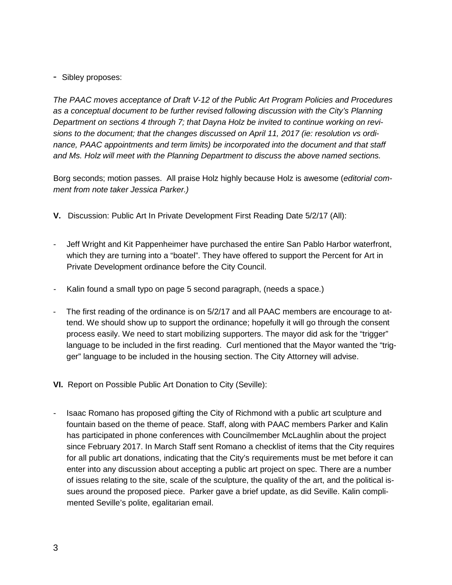## - Sibley proposes:

*The PAAC moves acceptance of Draft V-12 of the Public Art Program Policies and Procedures as a conceptual document to be further revised following discussion with the City's Planning Department on sections 4 through 7; that Dayna Holz be invited to continue working on revisions to the document; that the changes discussed on April 11, 2017 (ie: resolution vs ordinance, PAAC appointments and term limits) be incorporated into the document and that staff and Ms. Holz will meet with the Planning Department to discuss the above named sections.*

Borg seconds; motion passes. All praise Holz highly because Holz is awesome (*editorial comment from note taker Jessica Parker.)*

- **V.** Discussion: Public Art In Private Development First Reading Date 5/2/17 (All):
- Jeff Wright and Kit Pappenheimer have purchased the entire San Pablo Harbor waterfront, which they are turning into a "boatel". They have offered to support the Percent for Art in Private Development ordinance before the City Council.
- Kalin found a small typo on page 5 second paragraph, (needs a space.)
- The first reading of the ordinance is on  $5/2/17$  and all PAAC members are encourage to attend. We should show up to support the ordinance; hopefully it will go through the consent process easily. We need to start mobilizing supporters. The mayor did ask for the "trigger" language to be included in the first reading. Curl mentioned that the Mayor wanted the "trigger" language to be included in the housing section. The City Attorney will advise.
- **VI.** Report on Possible Public Art Donation to City (Seville):
- Isaac Romano has proposed gifting the City of Richmond with a public art sculpture and fountain based on the theme of peace. Staff, along with PAAC members Parker and Kalin has participated in phone conferences with Councilmember McLaughlin about the project since February 2017. In March Staff sent Romano a checklist of items that the City requires for all public art donations, indicating that the City's requirements must be met before it can enter into any discussion about accepting a public art project on spec. There are a number of issues relating to the site, scale of the sculpture, the quality of the art, and the political issues around the proposed piece. Parker gave a brief update, as did Seville. Kalin complimented Seville's polite, egalitarian email.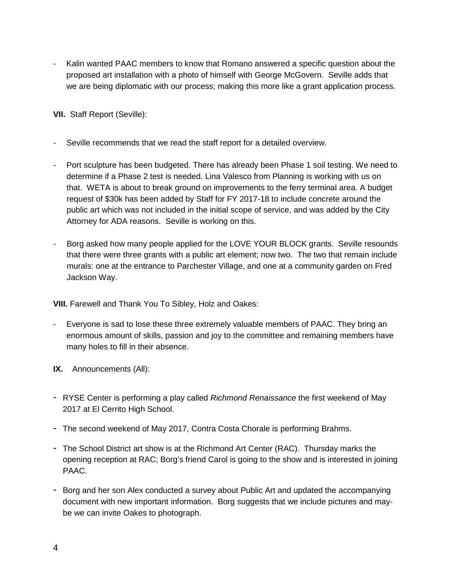- Kalin wanted PAAC members to know that Romano answered a specific question about the proposed art installation with a photo of himself with George McGovern. Seville adds that we are being diplomatic with our process; making this more like a grant application process.

**VII.** Staff Report (Seville):

- Seville recommends that we read the staff report for a detailed overview.
- Port sculpture has been budgeted. There has already been Phase 1 soil testing. We need to determine if a Phase 2 test is needed. Lina Valesco from Planning is working with us on that. WETA is about to break ground on improvements to the ferry terminal area. A budget request of \$30k has been added by Staff for FY 2017-18 to include concrete around the public art which was not included in the initial scope of service, and was added by the City Attorney for ADA reasons. Seville is working on this.
- Borg asked how many people applied for the LOVE YOUR BLOCK grants. Seville resounds that there were three grants with a public art element; now two. The two that remain include murals: one at the entrance to Parchester Village, and one at a community garden on Fred Jackson Way.

**VIII.** Farewell and Thank You To Sibley, Holz and Oakes:

- Everyone is sad to lose these three extremely valuable members of PAAC. They bring an enormous amount of skills, passion and joy to the committee and remaining members have many holes to fill in their absence.
- **IX.** Announcements (All):
- RYSE Center is performing a play called *Richmond Renaissance* the first weekend of May 2017 at El Cerrito High School.
- The second weekend of May 2017, Contra Costa Chorale is performing Brahms.
- The School District art show is at the Richmond Art Center (RAC). Thursday marks the opening reception at RAC; Borg's friend Carol is going to the show and is interested in joining PAAC.
- Borg and her son Alex conducted a survey about Public Art and updated the accompanying document with new important information. Borg suggests that we include pictures and maybe we can invite Oakes to photograph.